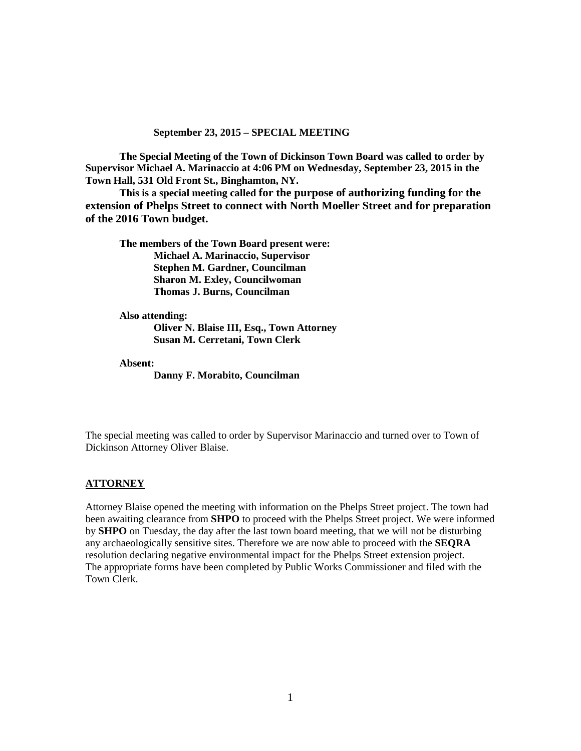### **September 23, 2015 – SPECIAL MEETING**

**The Special Meeting of the Town of Dickinson Town Board was called to order by Supervisor Michael A. Marinaccio at 4:06 PM on Wednesday, September 23, 2015 in the Town Hall, 531 Old Front St., Binghamton, NY.** 

**This is a special meeting called for the purpose of authorizing funding for the extension of Phelps Street to connect with North Moeller Street and for preparation of the 2016 Town budget.**

**The members of the Town Board present were: Michael A. Marinaccio, Supervisor Stephen M. Gardner, Councilman Sharon M. Exley, Councilwoman Thomas J. Burns, Councilman**

**Also attending: Oliver N. Blaise III, Esq., Town Attorney Susan M. Cerretani, Town Clerk**

**Absent:**

**Danny F. Morabito, Councilman**

The special meeting was called to order by Supervisor Marinaccio and turned over to Town of Dickinson Attorney Oliver Blaise.

### **ATTORNEY**

Attorney Blaise opened the meeting with information on the Phelps Street project. The town had been awaiting clearance from **SHPO** to proceed with the Phelps Street project. We were informed by **SHPO** on Tuesday, the day after the last town board meeting, that we will not be disturbing any archaeologically sensitive sites. Therefore we are now able to proceed with the **SEQRA** resolution declaring negative environmental impact for the Phelps Street extension project. The appropriate forms have been completed by Public Works Commissioner and filed with the Town Clerk.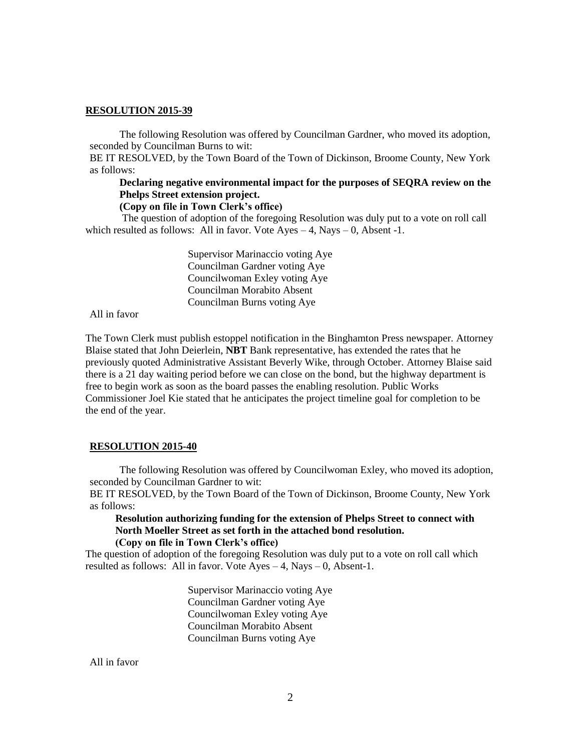### **RESOLUTION 2015-39**

The following Resolution was offered by Councilman Gardner, who moved its adoption, seconded by Councilman Burns to wit:

BE IT RESOLVED, by the Town Board of the Town of Dickinson, Broome County, New York as follows:

# **Declaring negative environmental impact for the purposes of SEQRA review on the Phelps Street extension project.**

### **(Copy on file in Town Clerk's office)**

The question of adoption of the foregoing Resolution was duly put to a vote on roll call which resulted as follows: All in favor. Vote Ayes  $-4$ , Nays  $-0$ , Absent -1.

> Supervisor Marinaccio voting Aye Councilman Gardner voting Aye Councilwoman Exley voting Aye Councilman Morabito Absent Councilman Burns voting Aye

All in favor

The Town Clerk must publish estoppel notification in the Binghamton Press newspaper. Attorney Blaise stated that John Deierlein, **NBT** Bank representative, has extended the rates that he previously quoted Administrative Assistant Beverly Wike, through October. Attorney Blaise said there is a 21 day waiting period before we can close on the bond, but the highway department is free to begin work as soon as the board passes the enabling resolution. Public Works Commissioner Joel Kie stated that he anticipates the project timeline goal for completion to be the end of the year.

### **RESOLUTION 2015-40**

The following Resolution was offered by Councilwoman Exley, who moved its adoption, seconded by Councilman Gardner to wit:

BE IT RESOLVED, by the Town Board of the Town of Dickinson, Broome County, New York as follows:

### **Resolution authorizing funding for the extension of Phelps Street to connect with North Moeller Street as set forth in the attached bond resolution. (Copy on file in Town Clerk's office)**

The question of adoption of the foregoing Resolution was duly put to a vote on roll call which resulted as follows: All in favor. Vote  $Ayes - 4$ , Nays  $- 0$ , Absent-1.

> Supervisor Marinaccio voting Aye Councilman Gardner voting Aye Councilwoman Exley voting Aye Councilman Morabito Absent Councilman Burns voting Aye

All in favor